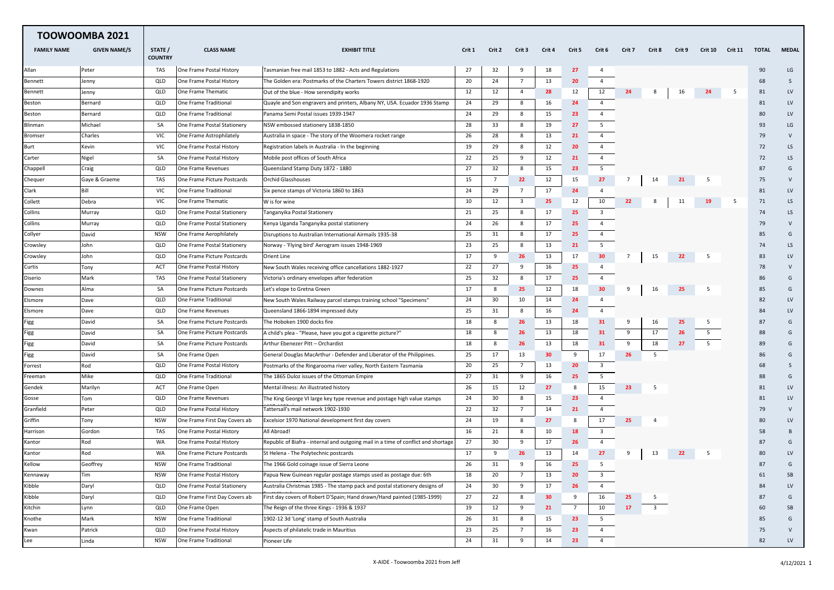| <b>TOOWOOMBA 2021</b> |                     |                           |                               |                                                                                    |        |                 |                |                 |                 |                         |                |        |        |                |                |       |              |
|-----------------------|---------------------|---------------------------|-------------------------------|------------------------------------------------------------------------------------|--------|-----------------|----------------|-----------------|-----------------|-------------------------|----------------|--------|--------|----------------|----------------|-------|--------------|
| <b>FAMILY NAME</b>    | <b>GIVEN NAME/S</b> | STATE /<br><b>COUNTRY</b> | <b>CLASS NAME</b>             | <b>EXHIBIT TITLE</b>                                                               | Crit 1 | Crit 2          | Crit 3         | Crit 4          | Crit 5          | Crit 6                  | Crit 7         | Crit 8 | Crit 9 | <b>Crit 10</b> | <b>Crit 11</b> | TOTAL | <b>MEDAL</b> |
| Allan                 | Peter               | TAS                       | One Frame Postal History      | Tasmanian free mail 1853 to 1882 - Acts and Regulations                            | 27     | 32              | 9              | 18              | 27              | $\overline{4}$          |                |        |        |                |                | 90    | LG           |
| Bennett               | Jenny               | QLD                       | One Frame Postal History      | The Golden era: Postmarks of the Charters Towers district 1868-1920                | 20     | 24              | $\overline{7}$ | 13              | 20              | $\overline{4}$          |                |        |        |                |                | 68    | S            |
| Bennett               | Jenny               | QLD                       | One Frame Thematic            | Out of the blue - How serendipity works                                            | 12     | 12              | 4              | 28              | 12              | 12                      | 24             | 8      | 16     | 24             | - 5            | 81    | LV           |
| Beston                | Bernard             | QLD                       | One Frame Traditional         | Quayle and Son engravers and printers, Albany NY, USA. Ecuador 1936 Stamp          | 24     | 29              | 8              | 16              | 24              | $\overline{4}$          |                |        |        |                |                | 81    | <b>LV</b>    |
| Beston                | Bernard             | QLD                       | One Frame Traditional         | Panama Semi Postal issues 1939-1947                                                | 24     | 29              | 8              | 15              | 23              | $\overline{4}$          |                |        |        |                |                | 80    | LV           |
| Blinman               | Michael             | SA                        | One Frame Postal Stationery   | NSW embossed stationery 1838-1850                                                  | 28     | 33              | 8              | 19              | 27              | 5                       |                |        |        |                |                | 93    | LG           |
| Bromser               | Charles             | <b>VIC</b>                | One Frame Astrophilately      | Australia in space - The story of the Woomera rocket range                         | 26     | 28              | 8              | 13              | 21              | $\overline{4}$          |                |        |        |                |                | 79    | V            |
| Burt                  | Kevin               | VIC                       | One Frame Postal History      | Registration labels in Australia - In the beginning                                | 19     | 29              | 8              | 12              | 20              | $\overline{4}$          |                |        |        |                |                | 72    | LS.          |
| Carter                | Nigel               | SA                        | One Frame Postal History      | Mobile post offices of South Africa                                                | 22     | 25              | 9              | 12              | 21              | $\overline{4}$          |                |        |        |                |                | 72    | LS.          |
| Chappell              | Craig               | QLD                       | One Frame Revenues            | Queensland Stamp Duty 1872 - 1880                                                  | 27     | 32              | 8              | 15              | 23              | 5                       |                |        |        |                |                | 87    | G            |
| Chequer               | Gaye & Graeme       | TAS                       | One Frame Picture Postcards   | <b>Orchid Glasshouses</b>                                                          | 15     | $7\overline{ }$ | 22             | 12              | 15              | 27                      | $\overline{7}$ | 14     | 21     | -5             |                | 75    | V            |
| Clark                 | Bill                | VIC                       | One Frame Traditional         | Six pence stamps of Victoria 1860 to 1863                                          | 24     | 29              | $\overline{7}$ | 17              | 24              | 4                       |                |        |        |                |                | 81    | LV           |
| Collett               | Debra               | VIC                       | One Frame Thematic            | W is for wine                                                                      | 10     | 12              | 3              | 25              | 12              | 10                      | 22             | -8     | 11     | 19             | - 5            | 71    | LS           |
| Collins               | Murray              | QLD                       | One Frame Postal Stationery   | Tanganyika Postal Stationery                                                       | 21     | 25              | 8              | 17              | 25              | $\overline{\mathbf{3}}$ |                |        |        |                |                | 74    | LS           |
| Collins               | Murray              | QLD                       | One Frame Postal Stationery   | Kenya Uganda Tanganyika postal stationery                                          | 24     | 26              | 8              | 17              | 25              | $\overline{4}$          |                |        |        |                |                | 79    | V            |
| Collyer               | David               | <b>NSW</b>                | One Frame Aerophilately       | Disruptions to Australian International Airmails 1935-38                           | 25     | 31              | 8              | 17              | 25              | $\overline{4}$          |                |        |        |                |                | 85    | G            |
| Crowsley              | John                | QLD                       | One Frame Postal Stationery   | Norway - 'Flying bird' Aerogram issues 1948-1969                                   | 23     | 25              | 8              | 13              | 21              | 5                       |                |        |        |                |                | 74    | LS.          |
| Crowsley              | John                | QLD                       | One Frame Picture Postcards   | <b>Orient Line</b>                                                                 | 17     | 9               | 26             | 13              | 17              | 30                      | 7              | 15     | 22     | -5             |                | 83    | LV           |
| Curtis                | Tony                | ACT                       | One Frame Postal History      | New South Wales receiving office cancellations 1882-1927                           | 22     | 27              | 9              | 16              | 25              | $\overline{4}$          |                |        |        |                |                | 78    | $\vee$       |
| Diserio               | Mark                | TAS                       | One Frame Postal Stationery   | Victoria's ordinary envelopes after federation                                     | 25     | 32              | 8              | 17              | 25              | $\overline{4}$          |                |        |        |                |                | 86    | G            |
| Downes                | Alma                | SA                        | One Frame Picture Postcards   | Let's elope to Gretna Green                                                        | 17     | 8               | 25             | 12              | 18              | 30                      | 9              | 16     | 25     | -5             |                | 85    | G            |
| Elsmore               | Dave                | QLD                       | One Frame Traditional         | New South Wales Railway parcel stamps training school "Specimens"                  | 24     | 30              | 10             | 14              | 24              | $\overline{a}$          |                |        |        |                |                | 82    | LV           |
| Elsmore               | Dave                | QLD                       | One Frame Revenues            | Queensland 1866-1894 impressed duty                                                | 25     | 31              | 8              | 16              | 24              | $\overline{4}$          |                |        |        |                |                | 84    | <b>LV</b>    |
| Figg                  | David               | SA                        | One Frame Picture Postcards   | The Hoboken 1900 docks fire                                                        | 18     | 8               | 26             | 13              | 18              | 31                      | 9              | 16     | 25     | -5             |                | 87    | G            |
| Figg                  | David               | SA                        | One Frame Picture Postcards   | A child's plea - "Please, have you got a cigarette picture?"                       | 18     | 8               | 26             | 13              | 18              | 31                      | 9              | 17     | 26     | 5              |                | 88    | G            |
| Figg                  | David               | SA                        | One Frame Picture Postcards   | Arthur Ebenezer Pitt - Orchardist                                                  | 18     | 8               | 26             | 13              | 18              | 31                      | 9              | 18     | 27     | 5              |                | 89    | G            |
| Figg                  | David               | SA                        | One Frame Open                | General Douglas MacArthur - Defender and Liberator of the Philippines.             | 25     | 17              | 13             | 30              | 9               | 17                      | 26             | -5     |        |                |                | 86    | G            |
| Forrest               | Rod                 | QLD                       | One Frame Postal History      | Postmarks of the Ringarooma river valley, North Eastern Tasmania                   | 20     | 25              | $\overline{7}$ | 13              | 20              | 3                       |                |        |        |                |                | 68    | S            |
| Freeman               | Mike                | QLD                       | One Frame Traditional         | The 1865 Duloz issues of the Ottoman Empire                                        | 27     | 31              | 9              | 16              | 25              | 5                       |                |        |        |                |                | 88    | G            |
| Gendek                | Marilyn             | ACT                       | One Frame Open                | Mental illness: An illustrated history                                             | 26     | 15              | 12             | 27              | 8               | 15                      | 23             | -5     |        |                |                | 81    | LV           |
| Gosse                 | Tom                 | QLD                       | One Frame Revenues            | The King George VI large key type revenue and postage high value stamps            | 24     | 30              | 8              | 15              | 23              | $\overline{4}$          |                |        |        |                |                | 81    | LV           |
| Granfield             | Peter               | QLD                       | One Frame Postal History      | Tattersall's mail network 1902-1930                                                | 22     | 32              | 7              | 14              | 21              | 4                       |                |        |        |                |                | 79    | V            |
| Griffin               | Tony                | <b>NSW</b>                | One Frame First Day Covers ab | Excelsior 1970 National development first day covers                               | 24     | 19              | 8              | 27              | 8               | 17                      | 25             |        |        |                |                | 80    | LV           |
| Harrison              | Gordon              | TAS                       | One Frame Postal History      | All Abroad!                                                                        | 16     | 21              | 8              | 10              | 18              | $\overline{\mathbf{3}}$ |                |        |        |                |                | 58    | B            |
| Kantor                | Rod                 | WA                        | One Frame Postal History      | Republic of Biafra - internal and outgoing mail in a time of conflict and shortage | 27     | 30              | 9              | 17              | 26              | $\overline{4}$          |                |        |        |                |                | 87    | G            |
| Kantor                | Rod                 | <b>WA</b>                 | One Frame Picture Postcards   | St Helena - The Polytechnic postcards                                              | 17     | 9               | 26             | 13              | 14              | 27                      | 9              | 13     | 22     | -5             |                | 80    | LV           |
| Kellow                | Geoffrey            | <b>NSW</b>                | One Frame Traditional         | The 1966 Gold coinage issue of Sierra Leone                                        | 26     | 31              | 9              | 16              | 25              | 5                       |                |        |        |                |                | 87    | G            |
| Kennaway              | Tim                 | <b>NSW</b>                | One Frame Postal History      | Papua New Guinean regular postage stamps used as postage due: 6th                  | 18     | 20              |                | 13              | 20              | $\overline{\mathbf{3}}$ |                |        |        |                |                | 61    | SB           |
| Kibble                | Daryl               | QLD                       | One Frame Postal Stationery   | Australia Christmas 1985 - The stamp pack and postal stationery designs of         | 24     | 30              | 9              | 17              | 26              | $\overline{4}$          |                |        |        |                |                | 84    | LV           |
| Kibble                | Daryl               | QLD                       | One Frame First Day Covers ab | First day covers of Robert D'Spain; Hand drawn/Hand painted (1985-1999)            | 27     | 22              | 8              | 30 <sub>o</sub> | 9               | 16                      | 25             | -5     |        |                |                | 87    | G            |
| Kitchin               | Lynn                | QLD                       | One Frame Open                | The Reign of the three Kings - 1936 & 1937                                         | 19     | 12              | 9              | 21              | $7\overline{ }$ | 10                      | 17             | 3      |        |                |                | 60    | SB           |
| Knothe                | Mark                | <b>NSW</b>                | One Frame Traditional         | 1902-12 3d 'Long' stamp of South Australia                                         | 26     | 31              | 8              | 15              | 23              | 5                       |                |        |        |                |                | 85    | G            |
| Kwan                  | Patrick             | QLD                       | One Frame Postal History      | Aspects of philatelic trade in Mauritius                                           | 23     | 25              | $\overline{7}$ | 16              | 23              | $\overline{4}$          |                |        |        |                |                | 75    | $\mathsf{V}$ |
| Lee                   | Linda               | <b>NSW</b>                | One Frame Traditional         | Pioneer Life                                                                       | 24     | 31              | 9              | 14              | 23              | $\overline{4}$          |                |        |        |                |                | 82    | LV           |